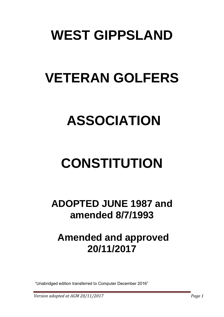## **WEST GIPPSLAND**

# **VETERAN GOLFERS**

### **ASSOCIATION**

# **CONSTITUTION**

**ADOPTED JUNE 1987 and amended 8/7/1993**

#### **Amended and approved 20/11/2017**

"Unabridged edition transferred to Computer December 2016"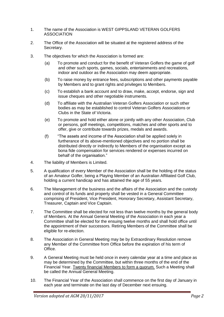- 1. The name of the Association is WEST GIPPSLAND VETERAN GOLFERS ASSOCIATION
- 2. The Office of the Association will be situated at the registered address of the Secretary.
- 3. The objectives for which the Association is formed are:
	- (a) To promote and conduct for the benefit of Veteran Golfers the game of golf and other such sports, games, socials, entertainments and recreations, indoor and outdoor as the Association may deem appropriate.
	- (b) To raise money by entrance fees, subscriptions and other payments payable by Members and to grant rights and privileges to Members.
	- (c) To establish a bank account and to draw, make, accept, endorse, sign and issue cheques and other negotiable instruments.
	- (d) To affiliate with the Australian Veteran Golfers Association or such other bodies as may be established to control Veteran Golfers Associations or Clubs in the State of Victoria.
	- (e) To promote and hold either alone or jointly with any other Association, Club or persons, golf meetings, competitions, matches and other sports and to offer, give or contribute towards prizes, medals and awards.
	- (f) "The assets and income of the Association shall be applied solely in furtherance of its above-mentioned objectives and no portion shall be distributed directly or indirectly to Members of the organisation except as bona fide compensation for services rendered or expenses incurred on behalf of the organisation."
- 4. The liability of Members is Limited.
- 5. A qualification of every Member of the Association shall be the holding of the status of an Amateur Golfer, being a Playing Member of an Australian Affiliated Golf Club, holding a current handicap and has attained the age of 55 years.
- 6. The Management of the business and the affairs of the Association and the custody and control of its funds and property shall be vested in a General Committee comprising of President, Vice President, Honorary Secretary, Assistant Secretary, Treasurer, Captain and Vice Captain.
- 7. The Committee shall be elected for not less than twelve months by the general body of Members. At the Annual General Meeting of the Association in each year a Committee shall be elected for the ensuing twelve months and shall hold office until the appointment of their successors. Retiring Members of the Committee shall be eligible for re-election.
- 8. The Association in General Meeting may be by Extraordinary Resolution remove any Member of the Committee from Office before the expiration of his term of Office.
- 9. A General Meeting must be held once in every calendar year at a time and place as may be determined by the Committee, but within three months of the end of the Financial Year. Twenty financial Members to form a quorum. Such a Meeting shall be called the Annual General Meeting.
- 10. The Financial Year of the Association shall commence on the first day of January in each year and terminate on the last day of December next ensuing.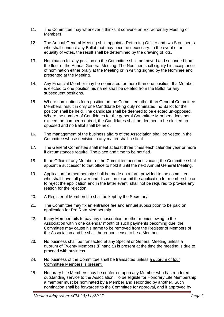- 11. The Committee may whenever it thinks fit convene an Extraordinary Meeting of Members.
- 12. The Annual General Meeting shall appoint a Returning Officer and two Scrutineers who shall conduct any Ballot that may become necessary. In the event of an equality of votes, the result shall be determined by the drawing of lots.
- 13. Nomination for any position on the Committee shall be moved and seconded from the floor of the Annual General Meeting. The Nominee shall signify his acceptance of nomination either orally at the Meeting or in writing signed by the Nominee and presented at the Meeting.
- 14. Any Financial Member may be nominated for more than one position. If a Member is elected to one position his name shall be deleted from the Ballot for any subsequent positions.
- 15. Where nominations for a position on the Committee other than General Committee Members, result in only one Candidate being duly nominated, no Ballot for the position shall be held. The candidate shall be deemed to be elected un-opposed. Where the number of Candidates for the general Committee Members does not exceed the number required, the Candidates shall be deemed to be elected unopposed and no Ballot shall be held.
- 16. The management of the business affairs of the Association shall be vested in the Committee whose decision in any matter shall be final.
- 17. The General Committee shall meet at least three times each calendar year or more if circumstances require. The place and time to be notified.
- 18. If the Office of any Member of the Committee becomes vacant, the Committee shall appoint a successor to that office to hold it until the next Annual General Meeting.
- 19. Application for membership shall be made on a form provided to the committee, who shall have full power and discretion to admit the application for membership or to reject the application and in the latter event, shall not be required to provide any reason for the rejection.
- 20. A Register of Membership shall be kept by the Secretary.
- 21. The Committee may fix an entrance fee and annual subscription to be paid on application for Pro Rata Membership.
- 22. If any Member fails to pay any subscription or other monies owing to the Association within one calendar month of such payments becoming due, the Committee may cause his name to be removed from the Register of Members of the Association and he shall thereupon cease to be a Member.
- 23. No business shall be transacted at any Special or General Meeting unless a quorum of Twenty Members (Financial) is present at the time the meeting is due to proceed with business.
- 24. No business of the Committee shall be transacted unless a quorum of four Committee Members is present.
- 25. Honorary Life Members may be conferred upon any Member who has rendered outstanding service to the Association. To be eligible for Honorary Life Membership a member must be nominated by a Member and seconded by another. Such nomination shall be forwarded to the Committee for approval, and if approved by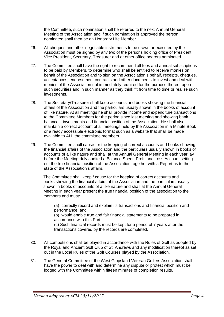the Committee, such nomination shall be referred to the next Annual General Meeting of the Association and if such nomination is approved the person nominated shall then be an Honorary Life Member.

- 26. All cheques and other negotiable instruments to be drawn or executed by the Association must be signed by any two of the persons holding office of President, Vice President, Secretary, Treasurer and or other office bearers nominated.
- 27. The Committee shall have the right to recommend all fees and annual subscriptions to be paid by Members, to determine who shall be entitled to receive monies on behalf of the Association and to sign on the Association's behalf, receipts, cheques, acceptances, endorsement contracts and other documents to invest and deal with monies of the Association not immediately required for the purpose thereof upon such securities and in such manner as they think fit from time to time or realise such investments.
- 28. The Secretary/Treasurer shall keep accounts and books showing the financial affairs of the Association and the particulars usually shown in the books of account of like nature. At all meetings he shall provide income and expenditure transactions to the Committee Members for the period since last meeting and showing bank balances, investments and financial position of the Association. He shall also maintain a correct account of all meetings held by the Association in a Minute Book or a ready accessible electronic format such as a website that shall be made available to ALL the committee members.
- 29. The Committee shall cause for the keeping of correct accounts and books showing the financial affairs of the Association and the particulars usually shown in books of accounts of a like nature and shall at the Annual General Meeting in each year lay before the Meeting duly audited a Balance Sheet, Profit and Loss Account setting out the true financial position of the Association together with a Report as to the state of the Association's affairs.

The Committee shall keep / cause for the keeping of correct accounts and books showing the financial affairs of the Association and the particulars usually shown in books of accounts of a like nature and shall at the Annual General Meeting in each year present the true financial position of the association to the members and must:

(a) correctly record and explain its transactions and financial position and performance; and

(b) would enable true and fair financial statements to be prepared in accordance with this Part.

(c) Such financial records must be kept for a period of 7 years after the transactions covered by the records are completed.

- 30. All competitions shall be played in accordance with the Rules of Golf as adopted by the Royal and Ancient Golf Club of St. Andrews and any modification thereof as set out in the Local Rules of the Golf Courses played by the Association.
- 31. The General Committee of the West Gippsland Veteran Golfers Association shall have the power to deal with and determine any dispute or protest which must be lodged with the Committee within fifteen minutes of completion results.